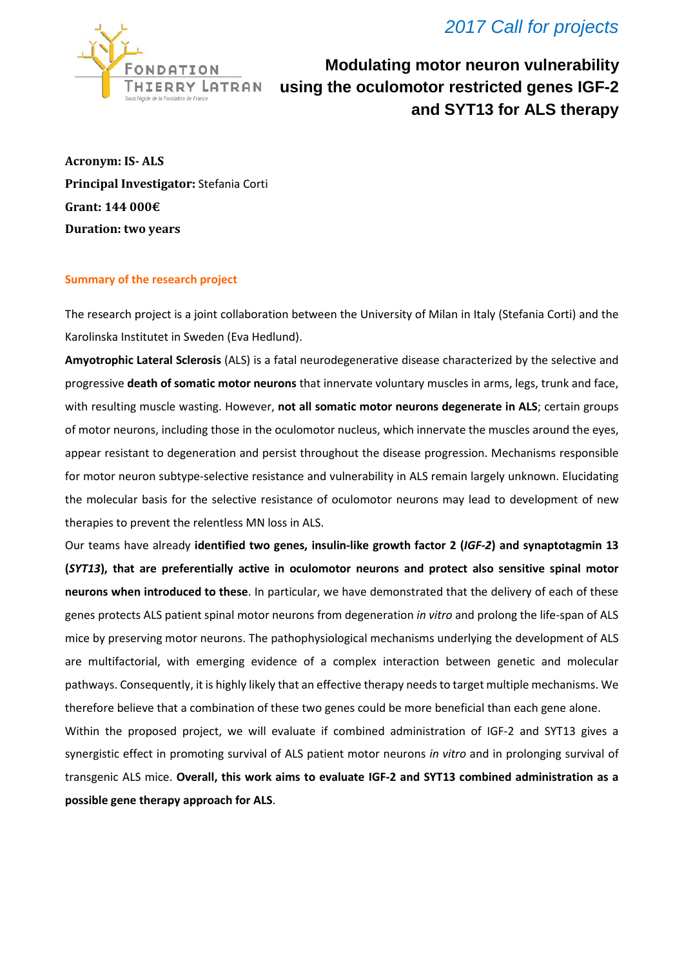## *2017 Call for projects*



**Modulating motor neuron vulnerability using the oculomotor restricted genes IGF-2 and SYT13 for ALS therapy**

**Acronym: IS- ALS Principal Investigator:** Stefania Corti **Grant: 144 000€ Duration: two years**

## **Summary of the research project**

The research project is a joint collaboration between the University of Milan in Italy (Stefania Corti) and the Karolinska Institutet in Sweden (Eva Hedlund).

**Amyotrophic Lateral Sclerosis** (ALS) is a fatal neurodegenerative disease characterized by the selective and progressive **death of somatic motor neurons** that innervate voluntary muscles in arms, legs, trunk and face, with resulting muscle wasting. However, **not all somatic motor neurons degenerate in ALS**; certain groups of motor neurons, including those in the oculomotor nucleus, which innervate the muscles around the eyes, appear resistant to degeneration and persist throughout the disease progression. Mechanisms responsible for motor neuron subtype-selective resistance and vulnerability in ALS remain largely unknown. Elucidating the molecular basis for the selective resistance of oculomotor neurons may lead to development of new therapies to prevent the relentless MN loss in ALS.

Our teams have already **identified two genes, insulin-like growth factor 2 (***IGF-2***) and synaptotagmin 13 (***SYT13***), that are preferentially active in oculomotor neurons and protect also sensitive spinal motor neurons when introduced to these**. In particular, we have demonstrated that the delivery of each of these genes protects ALS patient spinal motor neurons from degeneration *in vitro* and prolong the life-span of ALS mice by preserving motor neurons. The pathophysiological mechanisms underlying the development of ALS are multifactorial, with emerging evidence of a complex interaction between genetic and molecular pathways. Consequently, it is highly likely that an effective therapy needs to target multiple mechanisms. We therefore believe that a combination of these two genes could be more beneficial than each gene alone.

Within the proposed project, we will evaluate if combined administration of IGF-2 and SYT13 gives a synergistic effect in promoting survival of ALS patient motor neurons *in vitro* and in prolonging survival of transgenic ALS mice. **Overall, this work aims to evaluate IGF-2 and SYT13 combined administration as a possible gene therapy approach for ALS**.